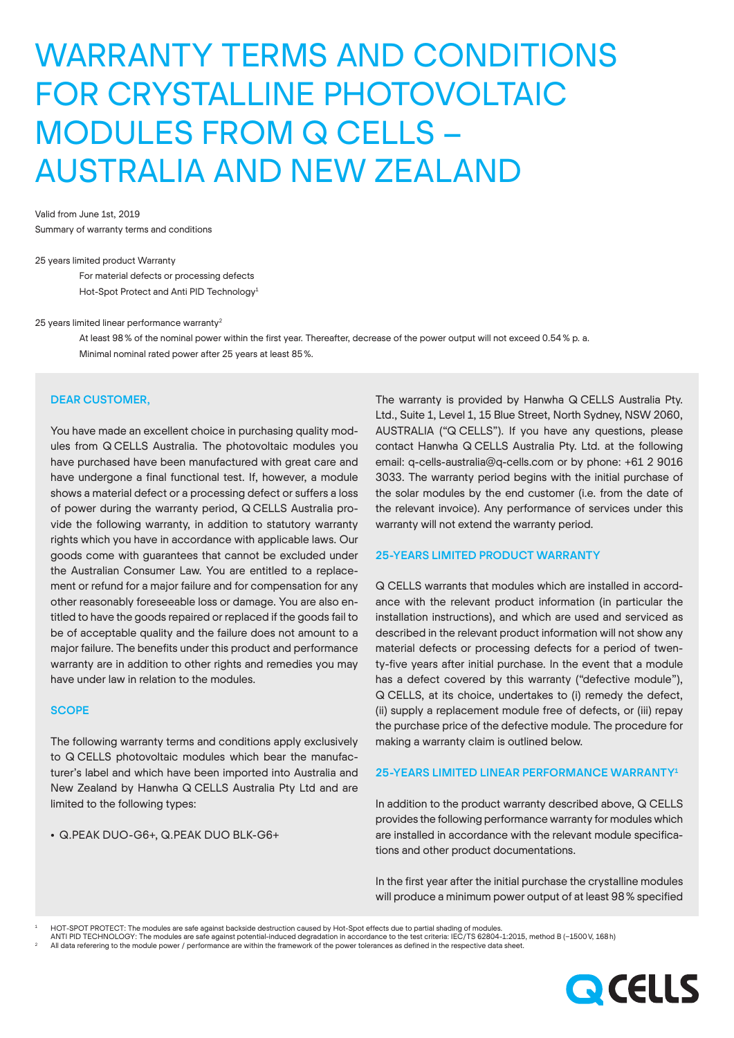# WARRANTY TERMS AND CONDITIONS FOR CRYSTALLINE PHOTOVOLTAIC MODULES FROM Q CELLS – AUSTRALIA AND NEW ZEALAND

Valid from June 1st, 2019 Summary of warranty terms and conditions

25 years limited product Warranty

For material defects or processing defects Hot-Spot Protect and Anti PID Technology<sup>1</sup>

25 years limited linear performance warranty<sup>2</sup>

At least 98% of the nominal power within the first year. Thereafter, decrease of the power output will not exceed 0.54% p. a. Minimal nominal rated power after 25 years at least 85%.

# DEAR CUSTOMER,

You have made an excellent choice in purchasing quality modules from Q CELLS Australia. The photovoltaic modules you have purchased have been manufactured with great care and have undergone a final functional test. If, however, a module shows a material defect or a processing defect or suffers a loss of power during the warranty period, Q CELLS Australia provide the following warranty, in addition to statutory warranty rights which you have in accordance with applicable laws. Our goods come with guarantees that cannot be excluded under the Australian Consumer Law. You are entitled to a replacement or refund for a major failure and for compensation for any other reasonably foreseeable loss or damage. You are also entitled to have the goods repaired or replaced if the goods fail to be of acceptable quality and the failure does not amount to a major failure. The benefits under this product and performance warranty are in addition to other rights and remedies you may have under law in relation to the modules.

# **SCOPE**

The following warranty terms and conditions apply exclusively to Q CELLS photovoltaic modules which bear the manufacturer's label and which have been imported into Australia and New Zealand by Hanwha Q CELLS Australia Pty Ltd and are limited to the following types:

#### • Q.PEAK DUO-G6+, Q.PEAK DUO BLK-G6+

The warranty is provided by Hanwha Q CELLS Australia Pty. Ltd., Suite 1, Level 1, 15 Blue Street, North Sydney, NSW 2060, AUSTRALIA ("Q CELLS"). If you have any questions, please contact Hanwha Q CELLS Australia Pty. Ltd. at the following email: q-cells-australia@q-cells.com or by phone: +61 2 9016 3033. The warranty period begins with the initial purchase of the solar modules by the end customer (i.e. from the date of the relevant invoice). Any performance of services under this warranty will not extend the warranty period.

## 25-YEARS LIMITED PRODUCT WARRANTY

Q CELLS warrants that modules which are installed in accordance with the relevant product information (in particular the installation instructions), and which are used and serviced as described in the relevant product information will not show any material defects or processing defects for a period of twenty-five years after initial purchase. In the event that a module has a defect covered by this warranty ("defective module"), Q CELLS, at its choice, undertakes to (i) remedy the defect, (ii) supply a replacement module free of defects, or (iii) repay the purchase price of the defective module. The procedure for making a warranty claim is outlined below.

#### 25-YEARS LIMITED LINEAR PERFORMANCE WARRANTY1

In addition to the product warranty described above, Q CELLS provides the following performance warranty for modules which are installed in accordance with the relevant module specifications and other product documentations.

In the first year after the initial purchase the crystalline modules will produce a minimum power output of at least 98% specified

All data referering to the module power / performance are within the framework of the power tolerances as defined in the respective data sheet.



<sup>1</sup> HOT-SPOT PROTECT: The modules are safe against backside destruction caused by Hot-Spot effects due to partial shading of modules.

ANTI PID TECHNOLOGY: The modules are safe against potential-induced degradation in accordance to the test criteria: IEC/TS 62804-1:2015, method B (−1500V, 168h)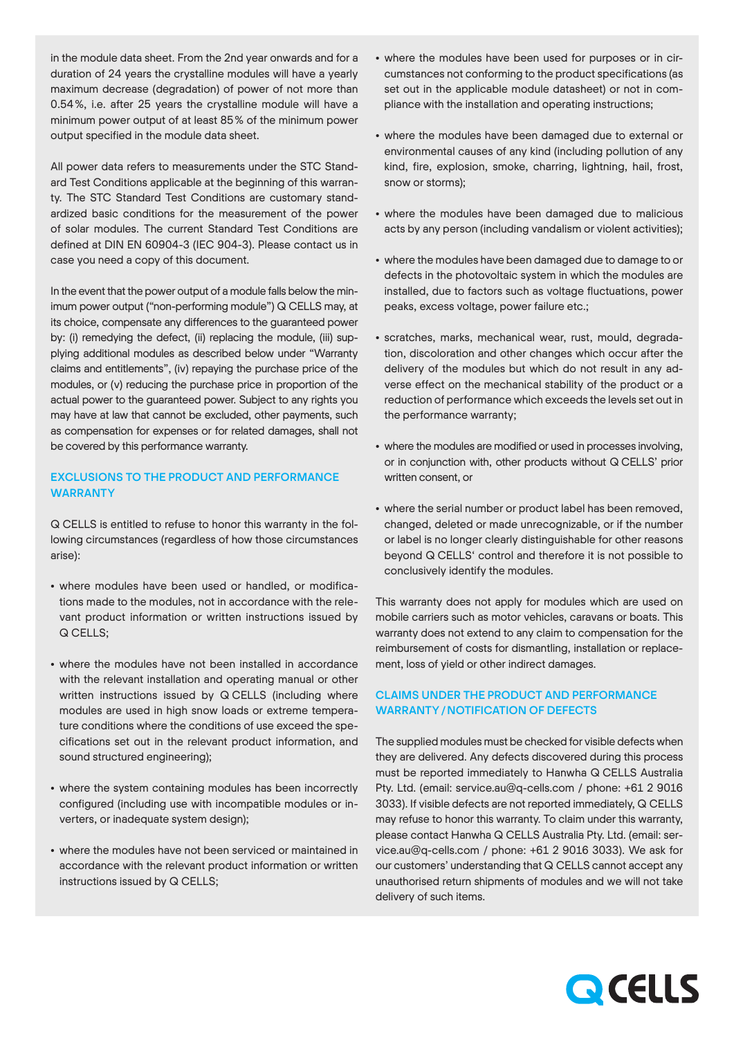in the module data sheet. From the 2nd year onwards and for a duration of 24 years the crystalline modules will have a yearly maximum decrease (degradation) of power of not more than 0.54%, i.e. after 25 years the crystalline module will have a minimum power output of at least 85% of the minimum power output specified in the module data sheet.

All power data refers to measurements under the STC Standard Test Conditions applicable at the beginning of this warranty. The STC Standard Test Conditions are customary standardized basic conditions for the measurement of the power of solar modules. The current Standard Test Conditions are defined at DIN EN 60904-3 (IEC 904-3). Please contact us in case you need a copy of this document.

In the event that the power output of a module falls below the minimum power output ("non-performing module") Q CELLS may, at its choice, compensate any differences to the guaranteed power by: (i) remedying the defect, (ii) replacing the module, (iii) supplying additional modules as described below under "Warranty claims and entitlements", (iv) repaying the purchase price of the modules, or (v) reducing the purchase price in proportion of the actual power to the guaranteed power. Subject to any rights you may have at law that cannot be excluded, other payments, such as compensation for expenses or for related damages, shall not be covered by this performance warranty.

# EXCLUSIONS TO THE PRODUCT AND PERFORMANCE WARRANTY

Q CELLS is entitled to refuse to honor this warranty in the following circumstances (regardless of how those circumstances arise):

- where modules have been used or handled, or modifications made to the modules, not in accordance with the relevant product information or written instructions issued by Q CELLS;
- where the modules have not been installed in accordance with the relevant installation and operating manual or other written instructions issued by Q CELLS (including where modules are used in high snow loads or extreme temperature conditions where the conditions of use exceed the specifications set out in the relevant product information, and sound structured engineering);
- where the system containing modules has been incorrectly configured (including use with incompatible modules or inverters, or inadequate system design);
- where the modules have not been serviced or maintained in accordance with the relevant product information or written instructions issued by Q CELLS;
- where the modules have been used for purposes or in circumstances not conforming to the product specifications (as set out in the applicable module datasheet) or not in compliance with the installation and operating instructions;
- where the modules have been damaged due to external or environmental causes of any kind (including pollution of any kind, fire, explosion, smoke, charring, lightning, hail, frost, snow or storms);
- where the modules have been damaged due to malicious acts by any person (including vandalism or violent activities);
- where the modules have been damaged due to damage to or defects in the photovoltaic system in which the modules are installed, due to factors such as voltage fluctuations, power peaks, excess voltage, power failure etc.;
- scratches, marks, mechanical wear, rust, mould, degradation, discoloration and other changes which occur after the delivery of the modules but which do not result in any adverse effect on the mechanical stability of the product or a reduction of performance which exceeds the levels set out in the performance warranty;
- where the modules are modified or used in processes involving, or in conjunction with, other products without Q CELLS' prior written consent, or
- where the serial number or product label has been removed, changed, deleted or made unrecognizable, or if the number or label is no longer clearly distinguishable for other reasons beyond Q CELLS' control and therefore it is not possible to conclusively identify the modules.

This warranty does not apply for modules which are used on mobile carriers such as motor vehicles, caravans or boats. This warranty does not extend to any claim to compensation for the reimbursement of costs for dismantling, installation or replacement, loss of yield or other indirect damages.

# CLAIMS UNDER THE PRODUCT AND PERFORMANCE WARRANTY / NOTIFICATION OF DEFECTS

The supplied modules must be checked for visible defects when they are delivered. Any defects discovered during this process must be reported immediately to Hanwha Q CELLS Australia Pty. Ltd. (email: service.au@q-cells.com / phone: +61 2 9016 3033). If visible defects are not reported immediately, Q CELLS may refuse to honor this warranty. To claim under this warranty, please contact Hanwha Q CELLS Australia Pty. Ltd. (email: service.au@q-cells.com / phone: +61 2 9016 3033). We ask for our customers' understanding that Q CELLS cannot accept any unauthorised return shipments of modules and we will not take delivery of such items.